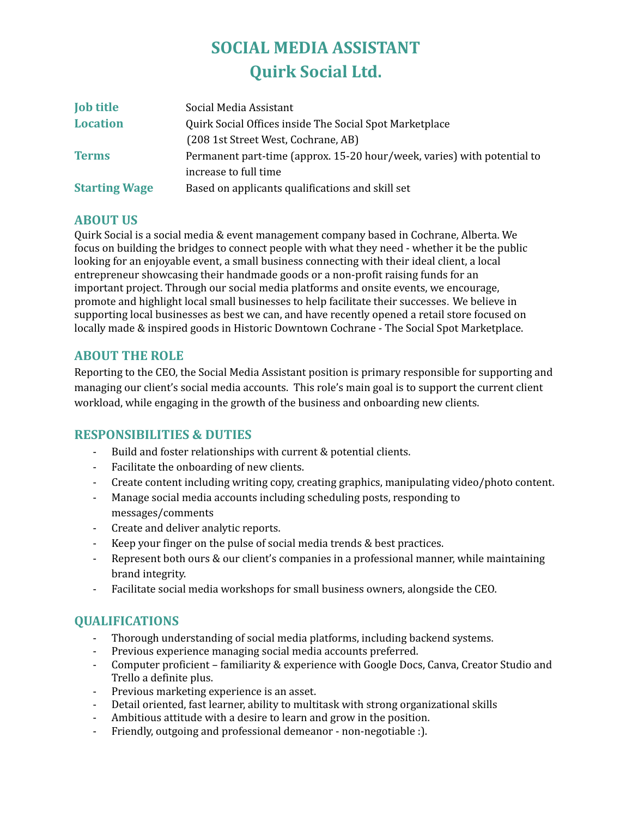# **SOCIAL MEDIA ASSISTANT Quirk Social Ltd.**

| <b>Job title</b>     | Social Media Assistant                                                  |
|----------------------|-------------------------------------------------------------------------|
| <b>Location</b>      | Quirk Social Offices inside The Social Spot Marketplace                 |
|                      | (208 1st Street West, Cochrane, AB)                                     |
| <b>Terms</b>         | Permanent part-time (approx. 15-20 hour/week, varies) with potential to |
|                      | increase to full time                                                   |
| <b>Starting Wage</b> | Based on applicants qualifications and skill set                        |

#### **ABOUT US**

Quirk Social is a social media & event management company based in Cochrane, Alberta. We focus on building the bridges to connect people with what they need - whether it be the public looking for an enjoyable event, a small business connecting with their ideal client, a local entrepreneur showcasing their handmade goods or a non-profit raising funds for an important project. Through our social media platforms and onsite events, we encourage, promote and highlight local small businesses to help facilitate their successes. We believe in supporting local businesses as best we can, and have recently opened a retail store focused on locally made & inspired goods in Historic Downtown Cochrane - The Social Spot Marketplace.

#### **ABOUT THE ROLE**

Reporting to the CEO, the Social Media Assistant position is primary responsible for supporting and managing our client's social media accounts. This role's main goal is to support the current client workload, while engaging in the growth of the business and onboarding new clients.

## **RESPONSIBILITIES & DUTIES**

- Build and foster relationships with current & potential clients.
- Facilitate the onboarding of new clients.
- Create content including writing copy, creating graphics, manipulating video/photo content.
- Manage social media accounts including scheduling posts, responding to messages/comments
- Create and deliver analytic reports.
- Keep your finger on the pulse of social media trends & best practices.
- Represent both ours & our client's companies in a professional manner, while maintaining brand integrity.
- Facilitate social media workshops for small business owners, alongside the CEO.

## **QUALIFICATIONS**

- Thorough understanding of social media platforms, including backend systems.
- Previous experience managing social media accounts preferred.
- Computer proficient familiarity & experience with Google Docs, Canva, Creator Studio and Trello a definite plus.
- Previous marketing experience is an asset.
- Detail oriented, fast learner, ability to multitask with strong organizational skills
- Ambitious attitude with a desire to learn and grow in the position.
- Friendly, outgoing and professional demeanor non-negotiable :).